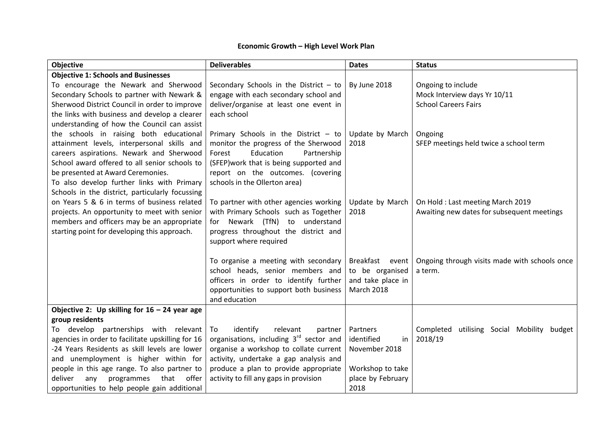## **Economic Growth – High Level Work Plan**

| Objective                                         | <b>Deliverables</b>                                 | <b>Dates</b>       | <b>Status</b>                                 |
|---------------------------------------------------|-----------------------------------------------------|--------------------|-----------------------------------------------|
| <b>Objective 1: Schools and Businesses</b>        |                                                     |                    |                                               |
| To encourage the Newark and Sherwood              | Secondary Schools in the District $-$ to            | By June 2018       | Ongoing to include                            |
| Secondary Schools to partner with Newark &        | engage with each secondary school and               |                    | Mock Interview days Yr 10/11                  |
| Sherwood District Council in order to improve     | deliver/organise at least one event in              |                    | <b>School Careers Fairs</b>                   |
| the links with business and develop a clearer     | each school                                         |                    |                                               |
| understanding of how the Council can assist       |                                                     |                    |                                               |
| the schools in raising both educational           | Primary Schools in the District $-$ to              | Update by March    | Ongoing                                       |
| attainment levels, interpersonal skills and       | monitor the progress of the Sherwood                | 2018               | SFEP meetings held twice a school term        |
| careers aspirations. Newark and Sherwood          | Education<br>Forest<br>Partnership                  |                    |                                               |
| School award offered to all senior schools to     | (SFEP) work that is being supported and             |                    |                                               |
| be presented at Award Ceremonies.                 | report on the outcomes. (covering                   |                    |                                               |
| To also develop further links with Primary        | schools in the Ollerton area)                       |                    |                                               |
| Schools in the district, particularly focussing   |                                                     |                    |                                               |
| on Years 5 & 6 in terms of business related       | To partner with other agencies working              | Update by March    | On Hold: Last meeting March 2019              |
| projects. An opportunity to meet with senior      | with Primary Schools such as Together               | 2018               | Awaiting new dates for subsequent meetings    |
| members and officers may be an appropriate        | for Newark (TfN) to understand                      |                    |                                               |
| starting point for developing this approach.      | progress throughout the district and                |                    |                                               |
|                                                   | support where required                              |                    |                                               |
|                                                   |                                                     |                    |                                               |
|                                                   | To organise a meeting with secondary                | Breakfast<br>event | Ongoing through visits made with schools once |
|                                                   | school heads, senior members and                    | to be organised    | a term.                                       |
|                                                   | officers in order to identify further               | and take place in  |                                               |
|                                                   | opportunities to support both business              | <b>March 2018</b>  |                                               |
|                                                   | and education                                       |                    |                                               |
| Objective 2: Up skilling for $16 - 24$ year age   |                                                     |                    |                                               |
| group residents                                   |                                                     |                    |                                               |
| To develop partnerships with relevant             | identify<br>relevant<br>To<br>partner               | Partners           | utilising Social Mobility budget<br>Completed |
| agencies in order to facilitate upskilling for 16 | organisations, including 3 <sup>rd</sup> sector and | identified<br>in   | 2018/19                                       |
| -24 Years Residents as skill levels are lower     | organise a workshop to collate current              | November 2018      |                                               |
| and unemployment is higher within for             | activity, undertake a gap analysis and              |                    |                                               |
| people in this age range. To also partner to      | produce a plan to provide appropriate               | Workshop to take   |                                               |
| deliver<br>any<br>programmes<br>that offer        | activity to fill any gaps in provision              | place by February  |                                               |
| opportunities to help people gain additional      |                                                     | 2018               |                                               |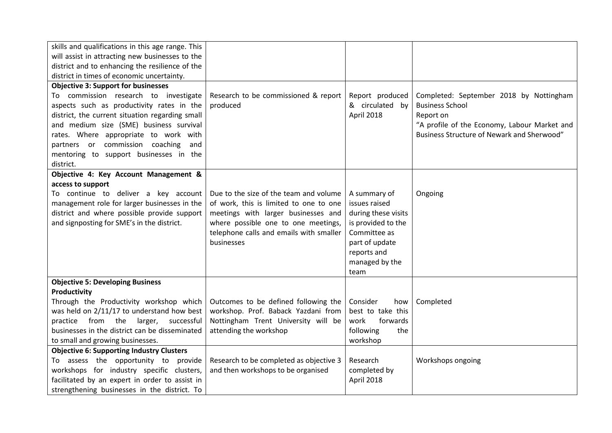| skills and qualifications in this age range. This |                                         |                     |                                              |
|---------------------------------------------------|-----------------------------------------|---------------------|----------------------------------------------|
| will assist in attracting new businesses to the   |                                         |                     |                                              |
| district and to enhancing the resilience of the   |                                         |                     |                                              |
| district in times of economic uncertainty.        |                                         |                     |                                              |
| <b>Objective 3: Support for businesses</b>        |                                         |                     |                                              |
| To commission research to investigate             | Research to be commissioned & report    | Report produced     | Completed: September 2018 by Nottingham      |
| aspects such as productivity rates in the         | produced                                | & circulated by     | <b>Business School</b>                       |
| district, the current situation regarding small   |                                         | April 2018          | Report on                                    |
| and medium size (SME) business survival           |                                         |                     | "A profile of the Economy, Labour Market and |
| rates. Where appropriate to work with             |                                         |                     | Business Structure of Newark and Sherwood"   |
| partners or commission coaching<br>and            |                                         |                     |                                              |
| mentoring to support businesses in the            |                                         |                     |                                              |
| district.                                         |                                         |                     |                                              |
| Objective 4: Key Account Management &             |                                         |                     |                                              |
| access to support                                 |                                         |                     |                                              |
| To continue to deliver a key account              | Due to the size of the team and volume  | A summary of        | Ongoing                                      |
| management role for larger businesses in the      | of work, this is limited to one to one  | issues raised       |                                              |
| district and where possible provide support       | meetings with larger businesses and     | during these visits |                                              |
| and signposting for SME's in the district.        | where possible one to one meetings,     | is provided to the  |                                              |
|                                                   | telephone calls and emails with smaller | Committee as        |                                              |
|                                                   | businesses                              | part of update      |                                              |
|                                                   |                                         | reports and         |                                              |
|                                                   |                                         | managed by the      |                                              |
|                                                   |                                         | team                |                                              |
| <b>Objective 5: Developing Business</b>           |                                         |                     |                                              |
| Productivity                                      |                                         |                     |                                              |
| Through the Productivity workshop which           | Outcomes to be defined following the    | Consider<br>how     | Completed                                    |
| was held on 2/11/17 to understand how best        | workshop. Prof. Baback Yazdani from     | best to take this   |                                              |
| practice from the<br>larger, successful           | Nottingham Trent University will be     | work<br>forwards    |                                              |
| businesses in the district can be disseminated    | attending the workshop                  | following<br>the    |                                              |
| to small and growing businesses.                  |                                         | workshop            |                                              |
| <b>Objective 6: Supporting Industry Clusters</b>  |                                         |                     |                                              |
| To assess the opportunity to provide              | Research to be completed as objective 3 | Research            | Workshops ongoing                            |
| workshops for industry specific clusters,         | and then workshops to be organised      | completed by        |                                              |
| facilitated by an expert in order to assist in    |                                         | April 2018          |                                              |
| strengthening businesses in the district. To      |                                         |                     |                                              |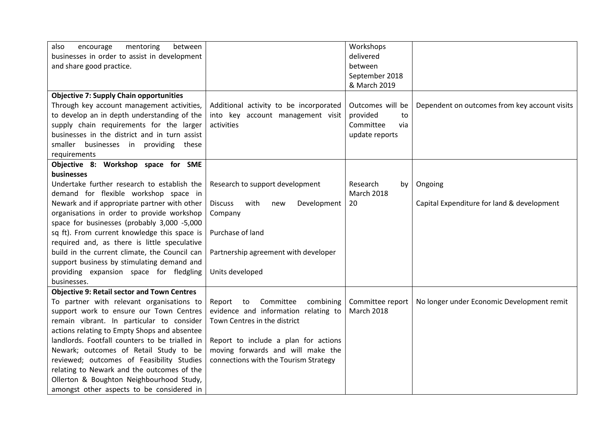| also<br>mentoring<br>between<br>encourage          |                                              | Workshops         |                                               |
|----------------------------------------------------|----------------------------------------------|-------------------|-----------------------------------------------|
| businesses in order to assist in development       |                                              | delivered         |                                               |
| and share good practice.                           |                                              | between           |                                               |
|                                                    |                                              | September 2018    |                                               |
|                                                    |                                              | & March 2019      |                                               |
| <b>Objective 7: Supply Chain opportunities</b>     |                                              |                   |                                               |
| Through key account management activities,         | Additional activity to be incorporated       | Outcomes will be  | Dependent on outcomes from key account visits |
| to develop an in depth understanding of the        | into key account management visit            | provided<br>to    |                                               |
| supply chain requirements for the larger           | activities                                   | Committee<br>via  |                                               |
| businesses in the district and in turn assist      |                                              | update reports    |                                               |
| smaller businesses in providing these              |                                              |                   |                                               |
| requirements                                       |                                              |                   |                                               |
| Objective 8: Workshop space for SME                |                                              |                   |                                               |
| businesses                                         |                                              |                   |                                               |
| Undertake further research to establish the        | Research to support development              | Research<br>by    | Ongoing                                       |
| demand for flexible workshop space in              |                                              | <b>March 2018</b> |                                               |
| Newark and if appropriate partner with other       | with<br>Development<br><b>Discuss</b><br>new | 20                | Capital Expenditure for land & development    |
| organisations in order to provide workshop         | Company                                      |                   |                                               |
| space for businesses (probably 3,000 -5,000        |                                              |                   |                                               |
| sq ft). From current knowledge this space is       | Purchase of land                             |                   |                                               |
| required and, as there is little speculative       |                                              |                   |                                               |
| build in the current climate, the Council can      | Partnership agreement with developer         |                   |                                               |
| support business by stimulating demand and         |                                              |                   |                                               |
| providing expansion space for fledgling            | Units developed                              |                   |                                               |
| businesses.                                        |                                              |                   |                                               |
| <b>Objective 9: Retail sector and Town Centres</b> |                                              |                   |                                               |
| To partner with relevant organisations to          | Report<br>to<br>Committee<br>combining       | Committee report  | No longer under Economic Development remit    |
| support work to ensure our Town Centres            | evidence and information relating to         | <b>March 2018</b> |                                               |
| remain vibrant. In particular to consider          | Town Centres in the district                 |                   |                                               |
| actions relating to Empty Shops and absentee       |                                              |                   |                                               |
| landlords. Footfall counters to be trialled in     | Report to include a plan for actions         |                   |                                               |
| Newark; outcomes of Retail Study to be             | moving forwards and will make the            |                   |                                               |
| reviewed; outcomes of Feasibility Studies          | connections with the Tourism Strategy        |                   |                                               |
| relating to Newark and the outcomes of the         |                                              |                   |                                               |
| Ollerton & Boughton Neighbourhood Study,           |                                              |                   |                                               |
| amongst other aspects to be considered in          |                                              |                   |                                               |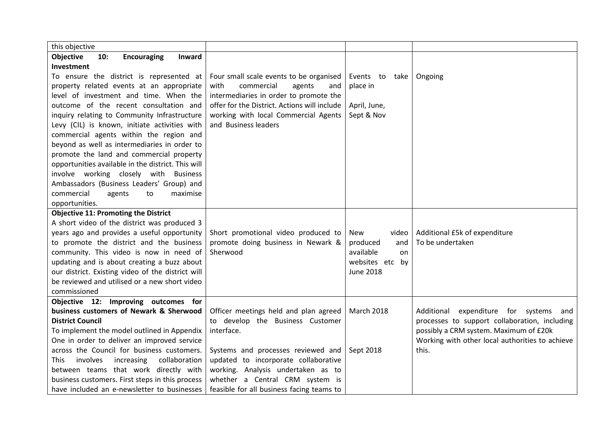| this objective                                          |                                              |                     |                                                 |
|---------------------------------------------------------|----------------------------------------------|---------------------|-------------------------------------------------|
| <b>Objective</b><br>10:<br><b>Encouraging</b><br>Inward |                                              |                     |                                                 |
| Investment                                              |                                              |                     |                                                 |
| To ensure the district is represented at                | Four small scale events to be organised      | Events to take      | Ongoing                                         |
| property related events at an appropriate               | with<br>commercial<br>agents<br>and          | place in            |                                                 |
| level of investment and time. When the                  | intermediaries in order to promote the       |                     |                                                 |
| outcome of the recent consultation and                  | offer for the District. Actions will include | April, June,        |                                                 |
| inquiry relating to Community Infrastructure            | working with local Commercial Agents         | Sept & Nov          |                                                 |
| Levy (CIL) is known, initiate activities with           | and Business leaders                         |                     |                                                 |
| commercial agents within the region and                 |                                              |                     |                                                 |
| beyond as well as intermediaries in order to            |                                              |                     |                                                 |
| promote the land and commercial property                |                                              |                     |                                                 |
| opportunities available in the district. This will      |                                              |                     |                                                 |
| involve working closely with Business                   |                                              |                     |                                                 |
| Ambassadors (Business Leaders' Group) and               |                                              |                     |                                                 |
| commercial<br>maximise<br>agents<br>to                  |                                              |                     |                                                 |
| opportunities.                                          |                                              |                     |                                                 |
| <b>Objective 11: Promoting the District</b>             |                                              |                     |                                                 |
| A short video of the district was produced 3            |                                              |                     |                                                 |
| years ago and provides a useful opportunity             | Short promotional video produced to          | <b>New</b><br>video | Additional £5k of expenditure                   |
| to promote the district and the business                | promote doing business in Newark &           | produced<br>and     | To be undertaken                                |
| community. This video is now in need of                 | Sherwood                                     | available<br>on     |                                                 |
| updating and is about creating a buzz about             |                                              | websites etc by     |                                                 |
| our district. Existing video of the district will       |                                              | <b>June 2018</b>    |                                                 |
| be reviewed and utilised or a new short video           |                                              |                     |                                                 |
| commissioned                                            |                                              |                     |                                                 |
| Objective 12: Improving outcomes for                    |                                              |                     |                                                 |
| business customers of Newark & Sherwood                 | Officer meetings held and plan agreed        | <b>March 2018</b>   | Additional expenditure for systems and          |
| <b>District Council</b>                                 | to develop the Business Customer             |                     | processes to support collaboration, including   |
| To implement the model outlined in Appendix             | interface.                                   |                     | possibly a CRM system. Maximum of £20k          |
| One in order to deliver an improved service             |                                              |                     | Working with other local authorities to achieve |
| across the Council for business customers.              | Systems and processes reviewed and           | Sept 2018           | this.                                           |
| involves<br>collaboration<br>increasing<br>This.        | updated to incorporate collaborative         |                     |                                                 |
| between teams that work directly with                   | working. Analysis undertaken as to           |                     |                                                 |
| business customers. First steps in this process         | whether a Central CRM system is              |                     |                                                 |
| have included an e-newsletter to businesses             | feasible for all business facing teams to    |                     |                                                 |